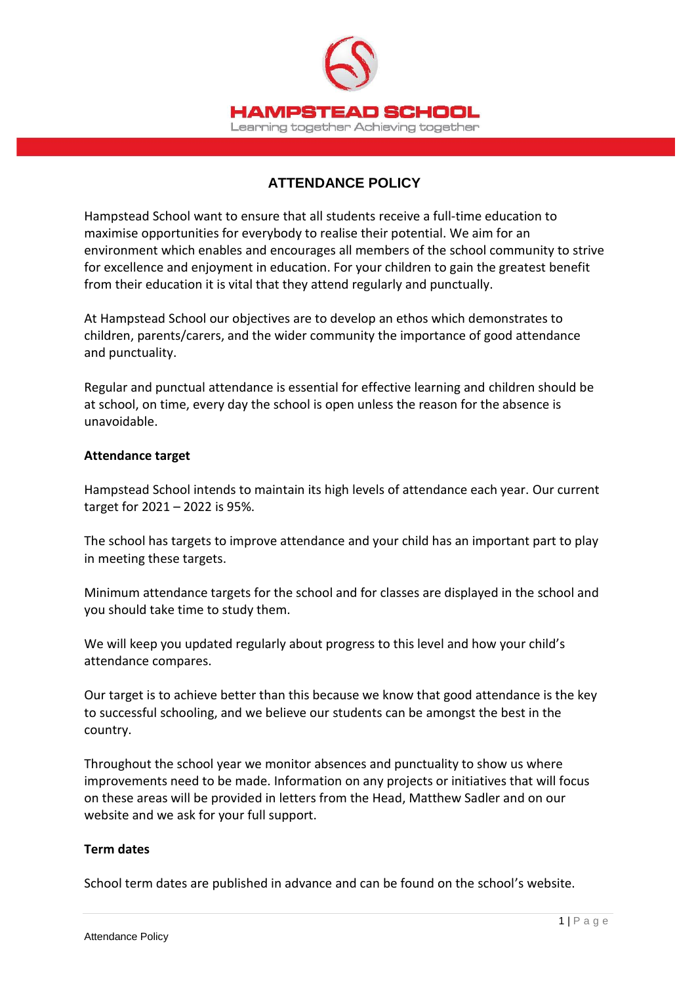

# **ATTENDANCE POLICY**

Hampstead School want to ensure that all students receive a full-time education to maximise opportunities for everybody to realise their potential. We aim for an environment which enables and encourages all members of the school community to strive for excellence and enjoyment in education. For your children to gain the greatest benefit from their education it is vital that they attend regularly and punctually.

At Hampstead School our objectives are to develop an ethos which demonstrates to children, parents/carers, and the wider community the importance of good attendance and punctuality.

Regular and punctual attendance is essential for effective learning and children should be at school, on time, every day the school is open unless the reason for the absence is unavoidable.

#### **Attendance target**

Hampstead School intends to maintain its high levels of attendance each year. Our current target for 2021 – 2022 is 95%.

The school has targets to improve attendance and your child has an important part to play in meeting these targets.

Minimum attendance targets for the school and for classes are displayed in the school and you should take time to study them.

We will keep you updated regularly about progress to this level and how your child's attendance compares.

Our target is to achieve better than this because we know that good attendance is the key to successful schooling, and we believe our students can be amongst the best in the country.

Throughout the school year we monitor absences and punctuality to show us where improvements need to be made. Information on any projects or initiatives that will focus on these areas will be provided in letters from the Head, Matthew Sadler and on our website and we ask for your full support.

### **Term dates**

School term dates are published in advance and can be found on the school's website.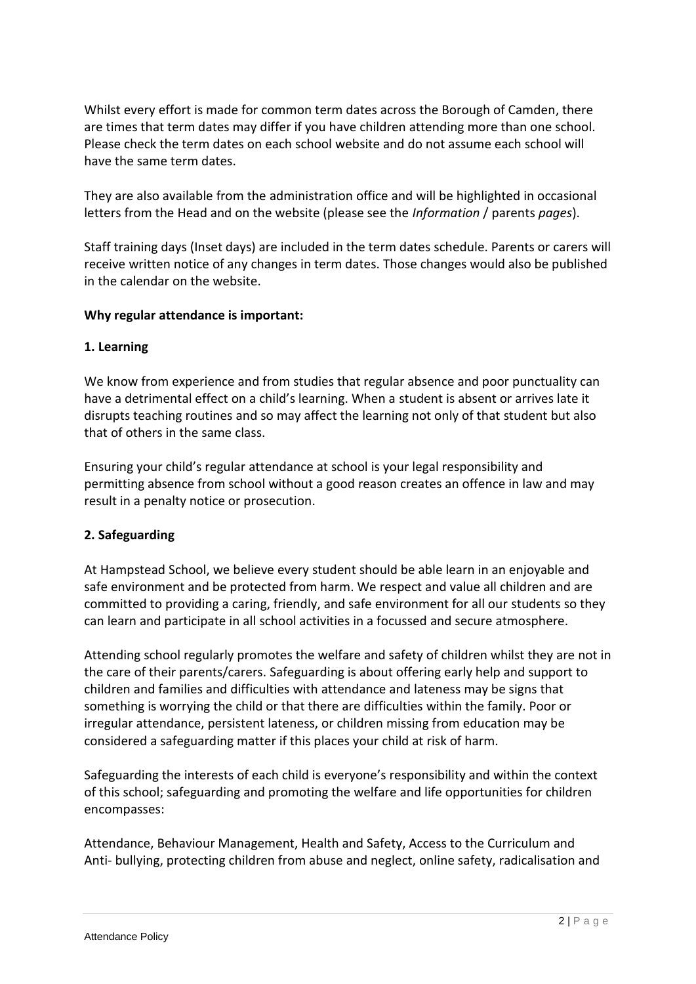Whilst every effort is made for common term dates across the Borough of Camden, there are times that term dates may differ if you have children attending more than one school. Please check the term dates on each school website and do not assume each school will have the same term dates.

They are also available from the administration office and will be highlighted in occasional letters from the Head and on the website (please see the *Information* / parents *pages*).

Staff training days (Inset days) are included in the term dates schedule. Parents or carers will receive written notice of any changes in term dates. Those changes would also be published in the calendar on the website.

# **Why regular attendance is important:**

### **1. Learning**

We know from experience and from studies that regular absence and poor punctuality can have a detrimental effect on a child's learning. When a student is absent or arrives late it disrupts teaching routines and so may affect the learning not only of that student but also that of others in the same class.

Ensuring your child's regular attendance at school is your legal responsibility and permitting absence from school without a good reason creates an offence in law and may result in a penalty notice or prosecution.

# **2. Safeguarding**

At Hampstead School, we believe every student should be able learn in an enjoyable and safe environment and be protected from harm. We respect and value all children and are committed to providing a caring, friendly, and safe environment for all our students so they can learn and participate in all school activities in a focussed and secure atmosphere.

Attending school regularly promotes the welfare and safety of children whilst they are not in the care of their parents/carers. Safeguarding is about offering early help and support to children and families and difficulties with attendance and lateness may be signs that something is worrying the child or that there are difficulties within the family. Poor or irregular attendance, persistent lateness, or children missing from education may be considered a safeguarding matter if this places your child at risk of harm.

Safeguarding the interests of each child is everyone's responsibility and within the context of this school; safeguarding and promoting the welfare and life opportunities for children encompasses:

Attendance, Behaviour Management, Health and Safety, Access to the Curriculum and Anti- bullying, protecting children from abuse and neglect, online safety, radicalisation and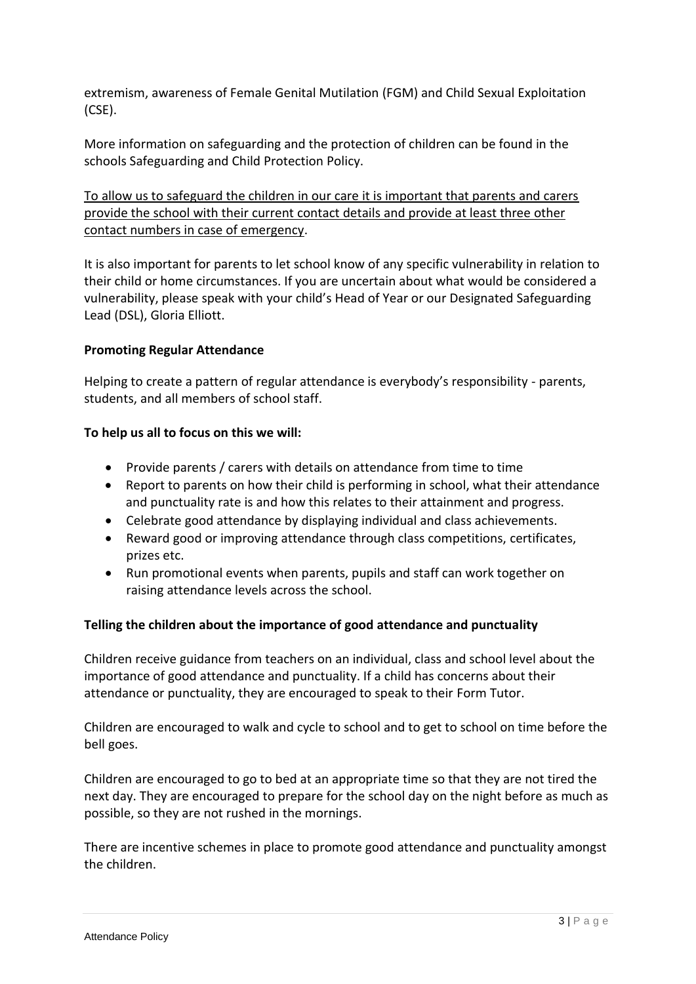extremism, awareness of Female Genital Mutilation (FGM) and Child Sexual Exploitation (CSE).

More information on safeguarding and the protection of children can be found in the schools Safeguarding and Child Protection Policy.

To allow us to safeguard the children in our care it is important that parents and carers provide the school with their current contact details and provide at least three other contact numbers in case of emergency.

It is also important for parents to let school know of any specific vulnerability in relation to their child or home circumstances. If you are uncertain about what would be considered a vulnerability, please speak with your child's Head of Year or our Designated Safeguarding Lead (DSL), Gloria Elliott.

# **Promoting Regular Attendance**

Helping to create a pattern of regular attendance is everybody's responsibility - parents, students, and all members of school staff.

# **To help us all to focus on this we will:**

- Provide parents / carers with details on attendance from time to time
- Report to parents on how their child is performing in school, what their attendance and punctuality rate is and how this relates to their attainment and progress.
- Celebrate good attendance by displaying individual and class achievements.
- Reward good or improving attendance through class competitions, certificates, prizes etc.
- Run promotional events when parents, pupils and staff can work together on raising attendance levels across the school.

# **Telling the children about the importance of good attendance and punctuality**

Children receive guidance from teachers on an individual, class and school level about the importance of good attendance and punctuality. If a child has concerns about their attendance or punctuality, they are encouraged to speak to their Form Tutor.

Children are encouraged to walk and cycle to school and to get to school on time before the bell goes.

Children are encouraged to go to bed at an appropriate time so that they are not tired the next day. They are encouraged to prepare for the school day on the night before as much as possible, so they are not rushed in the mornings.

There are incentive schemes in place to promote good attendance and punctuality amongst the children.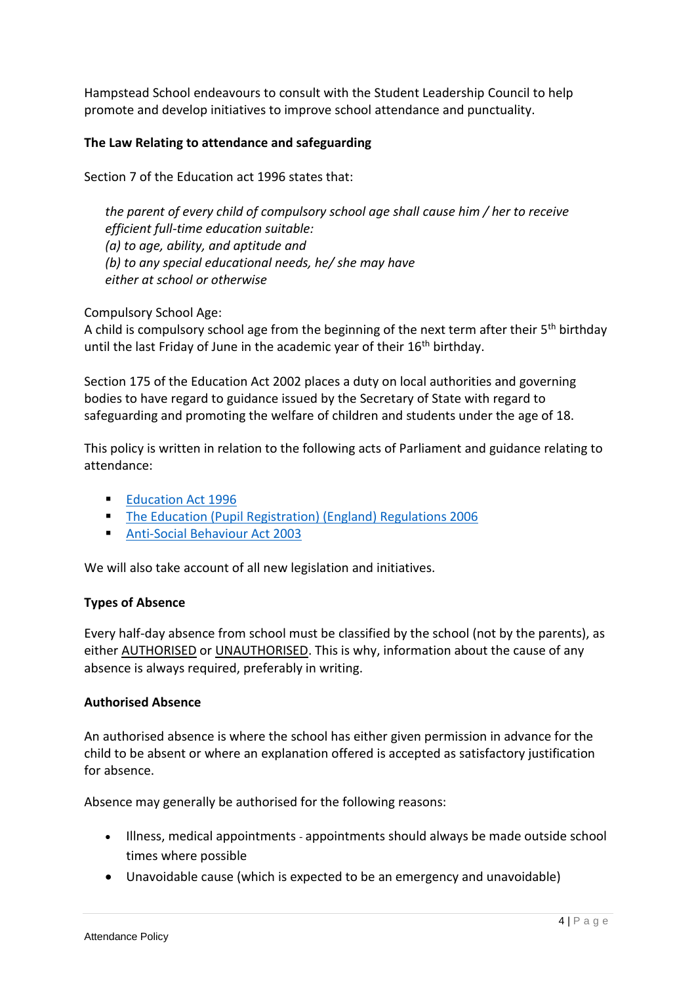Hampstead School endeavours to consult with the Student Leadership Council to help promote and develop initiatives to improve school attendance and punctuality.

# **The Law Relating to attendance and safeguarding**

Section 7 of the Education act 1996 states that:

*the parent of every child of compulsory school age shall cause him / her to receive efficient full-time education suitable: (a) to age, ability, and aptitude and (b) to any special educational needs, he/ she may have either at school or otherwise*

Compulsory School Age:

A child is compulsory school age from the beginning of the next term after their 5<sup>th</sup> birthday until the last Friday of June in the academic year of their 16<sup>th</sup> birthday.

Section 175 of the Education Act 2002 places a duty on local authorities and governing bodies to have regard to guidance issued by the Secretary of State with regard to safeguarding and promoting the welfare of children and students under the age of 18.

This policy is written in relation to the following acts of Parliament and guidance relating to attendance:

- **[Education Act 1996](https://www.legislation.gov.uk/ukpga/1996/56/contents)**
- **[The Education \(Pupil Registration\) \(England\) Regulations 2006](https://www.legislation.gov.uk/uksi/2006/1751/contents/made)**
- **[Anti-Social Behaviour Act 2003](https://www.legislation.gov.uk/ukpga/2003/38/contents)**

We will also take account of all new legislation and initiatives.

### **Types of Absence**

Every half-day absence from school must be classified by the school (not by the parents), as either AUTHORISED or UNAUTHORISED. This is why, information about the cause of any absence is always required, preferably in writing.

### **Authorised Absence**

An authorised absence is where the school has either given permission in advance for the child to be absent or where an explanation offered is accepted as satisfactory justification for absence.

Absence may generally be authorised for the following reasons:

- Illness, medical appointments appointments should always be made outside school times where possible
- Unavoidable cause (which is expected to be an emergency and unavoidable)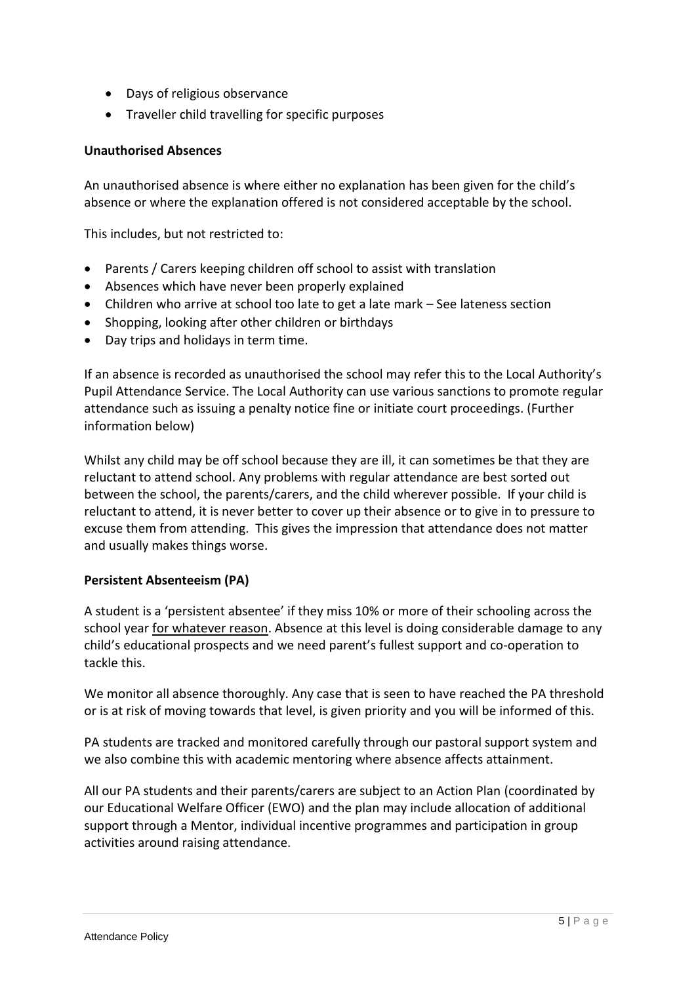- Days of religious observance
- Traveller child travelling for specific purposes

#### **Unauthorised Absences**

An unauthorised absence is where either no explanation has been given for the child's absence or where the explanation offered is not considered acceptable by the school.

This includes, but not restricted to:

- Parents / Carers keeping children off school to assist with translation
- Absences which have never been properly explained
- Children who arrive at school too late to get a late mark See lateness section
- Shopping, looking after other children or birthdays
- Day trips and holidays in term time.

If an absence is recorded as unauthorised the school may refer this to the Local Authority's Pupil Attendance Service. The Local Authority can use various sanctions to promote regular attendance such as issuing a penalty notice fine or initiate court proceedings. (Further information below)

Whilst any child may be off school because they are ill, it can sometimes be that they are reluctant to attend school. Any problems with regular attendance are best sorted out between the school, the parents/carers, and the child wherever possible. If your child is reluctant to attend, it is never better to cover up their absence or to give in to pressure to excuse them from attending. This gives the impression that attendance does not matter and usually makes things worse.

### **Persistent Absenteeism (PA)**

A student is a 'persistent absentee' if they miss 10% or more of their schooling across the school year for whatever reason. Absence at this level is doing considerable damage to any child's educational prospects and we need parent's fullest support and co-operation to tackle this.

We monitor all absence thoroughly. Any case that is seen to have reached the PA threshold or is at risk of moving towards that level, is given priority and you will be informed of this.

PA students are tracked and monitored carefully through our pastoral support system and we also combine this with academic mentoring where absence affects attainment.

All our PA students and their parents/carers are subject to an Action Plan (coordinated by our Educational Welfare Officer (EWO) and the plan may include allocation of additional support through a Mentor, individual incentive programmes and participation in group activities around raising attendance.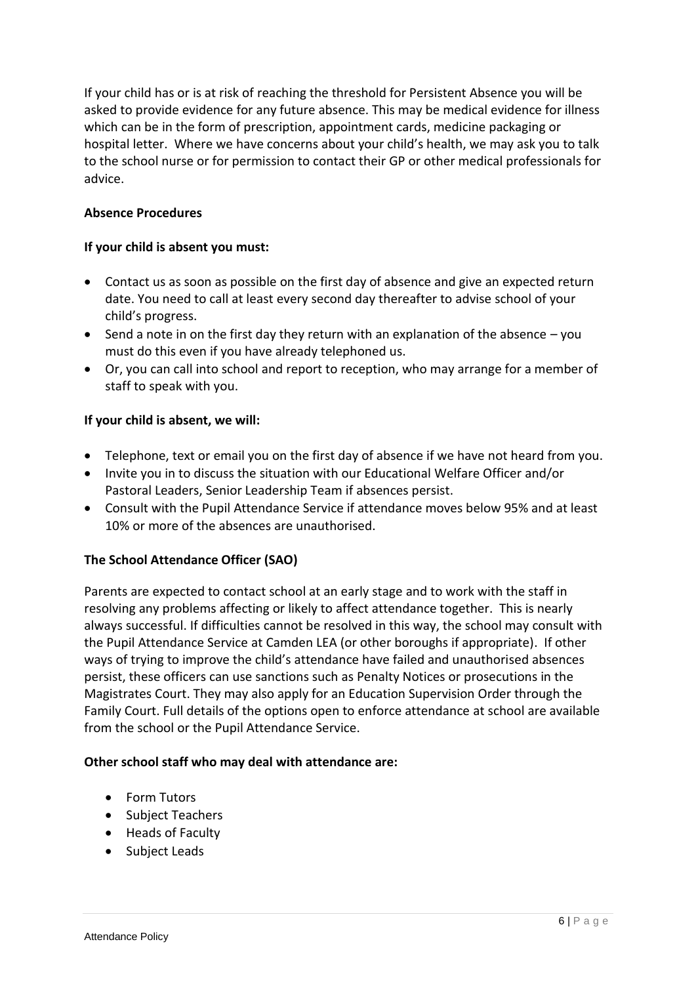If your child has or is at risk of reaching the threshold for Persistent Absence you will be asked to provide evidence for any future absence. This may be medical evidence for illness which can be in the form of prescription, appointment cards, medicine packaging or hospital letter. Where we have concerns about your child's health, we may ask you to talk to the school nurse or for permission to contact their GP or other medical professionals for advice.

# **Absence Procedures**

## **If your child is absent you must:**

- Contact us as soon as possible on the first day of absence and give an expected return date. You need to call at least every second day thereafter to advise school of your child's progress.
- Send a note in on the first day they return with an explanation of the absence  $-$  you must do this even if you have already telephoned us.
- Or, you can call into school and report to reception, who may arrange for a member of staff to speak with you.

# **If your child is absent, we will:**

- Telephone, text or email you on the first day of absence if we have not heard from you.
- Invite you in to discuss the situation with our Educational Welfare Officer and/or Pastoral Leaders, Senior Leadership Team if absences persist.
- Consult with the Pupil Attendance Service if attendance moves below 95% and at least 10% or more of the absences are unauthorised.

# **The School Attendance Officer (SAO)**

Parents are expected to contact school at an early stage and to work with the staff in resolving any problems affecting or likely to affect attendance together. This is nearly always successful. If difficulties cannot be resolved in this way, the school may consult with the Pupil Attendance Service at Camden LEA (or other boroughs if appropriate). If other ways of trying to improve the child's attendance have failed and unauthorised absences persist, these officers can use sanctions such as Penalty Notices or prosecutions in the Magistrates Court. They may also apply for an Education Supervision Order through the Family Court. Full details of the options open to enforce attendance at school are available from the school or the Pupil Attendance Service.

### **Other school staff who may deal with attendance are:**

- Form Tutors
- Subject Teachers
- Heads of Faculty
- Subject Leads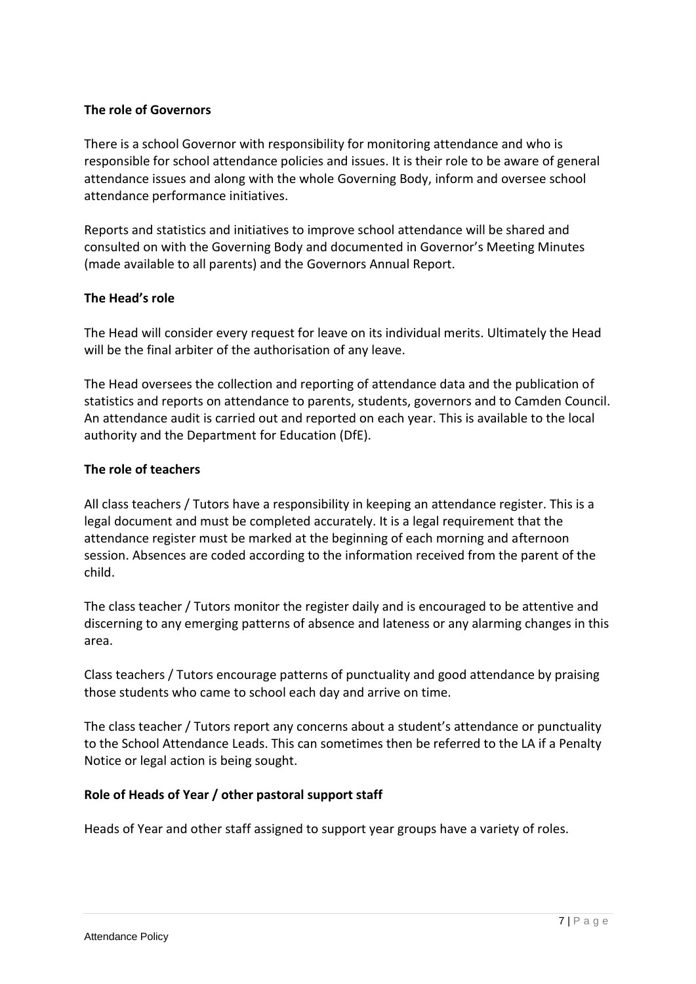# **The role of Governors**

There is a school Governor with responsibility for monitoring attendance and who is responsible for school attendance policies and issues. It is their role to be aware of general attendance issues and along with the whole Governing Body, inform and oversee school attendance performance initiatives.

Reports and statistics and initiatives to improve school attendance will be shared and consulted on with the Governing Body and documented in Governor's Meeting Minutes (made available to all parents) and the Governors Annual Report.

# **The Head's role**

The Head will consider every request for leave on its individual merits. Ultimately the Head will be the final arbiter of the authorisation of any leave.

The Head oversees the collection and reporting of attendance data and the publication of statistics and reports on attendance to parents, students, governors and to Camden Council. An attendance audit is carried out and reported on each year. This is available to the local authority and the Department for Education (DfE).

# **The role of teachers**

All class teachers / Tutors have a responsibility in keeping an attendance register. This is a legal document and must be completed accurately. It is a legal requirement that the attendance register must be marked at the beginning of each morning and afternoon session. Absences are coded according to the information received from the parent of the child.

The class teacher / Tutors monitor the register daily and is encouraged to be attentive and discerning to any emerging patterns of absence and lateness or any alarming changes in this area.

Class teachers / Tutors encourage patterns of punctuality and good attendance by praising those students who came to school each day and arrive on time.

The class teacher / Tutors report any concerns about a student's attendance or punctuality to the School Attendance Leads. This can sometimes then be referred to the LA if a Penalty Notice or legal action is being sought.

### **Role of Heads of Year / other pastoral support staff**

Heads of Year and other staff assigned to support year groups have a variety of roles.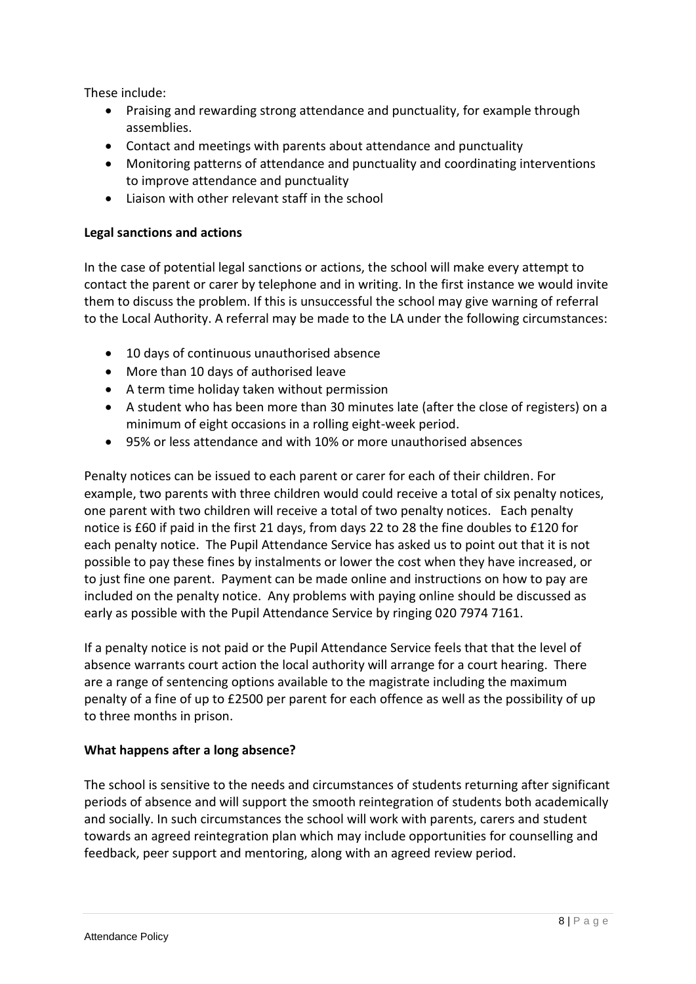These include:

- Praising and rewarding strong attendance and punctuality, for example through assemblies.
- Contact and meetings with parents about attendance and punctuality
- Monitoring patterns of attendance and punctuality and coordinating interventions to improve attendance and punctuality
- Liaison with other relevant staff in the school

## **Legal sanctions and actions**

In the case of potential legal sanctions or actions, the school will make every attempt to contact the parent or carer by telephone and in writing. In the first instance we would invite them to discuss the problem. If this is unsuccessful the school may give warning of referral to the Local Authority. A referral may be made to the LA under the following circumstances:

- 10 days of continuous unauthorised absence
- More than 10 days of authorised leave
- A term time holiday taken without permission
- A student who has been more than 30 minutes late (after the close of registers) on a minimum of eight occasions in a rolling eight-week period.
- 95% or less attendance and with 10% or more unauthorised absences

Penalty notices can be issued to each parent or carer for each of their children. For example, two parents with three children would could receive a total of six penalty notices, one parent with two children will receive a total of two penalty notices. Each penalty notice is £60 if paid in the first 21 days, from days 22 to 28 the fine doubles to £120 for each penalty notice. The Pupil Attendance Service has asked us to point out that it is not possible to pay these fines by instalments or lower the cost when they have increased, or to just fine one parent. Payment can be made online and instructions on how to pay are included on the penalty notice. Any problems with paying online should be discussed as early as possible with the Pupil Attendance Service by ringing 020 7974 7161.

If a penalty notice is not paid or the Pupil Attendance Service feels that that the level of absence warrants court action the local authority will arrange for a court hearing. There are a range of sentencing options available to the magistrate including the maximum penalty of a fine of up to £2500 per parent for each offence as well as the possibility of up to three months in prison.

### **What happens after a long absence?**

The school is sensitive to the needs and circumstances of students returning after significant periods of absence and will support the smooth reintegration of students both academically and socially. In such circumstances the school will work with parents, carers and student towards an agreed reintegration plan which may include opportunities for counselling and feedback, peer support and mentoring, along with an agreed review period.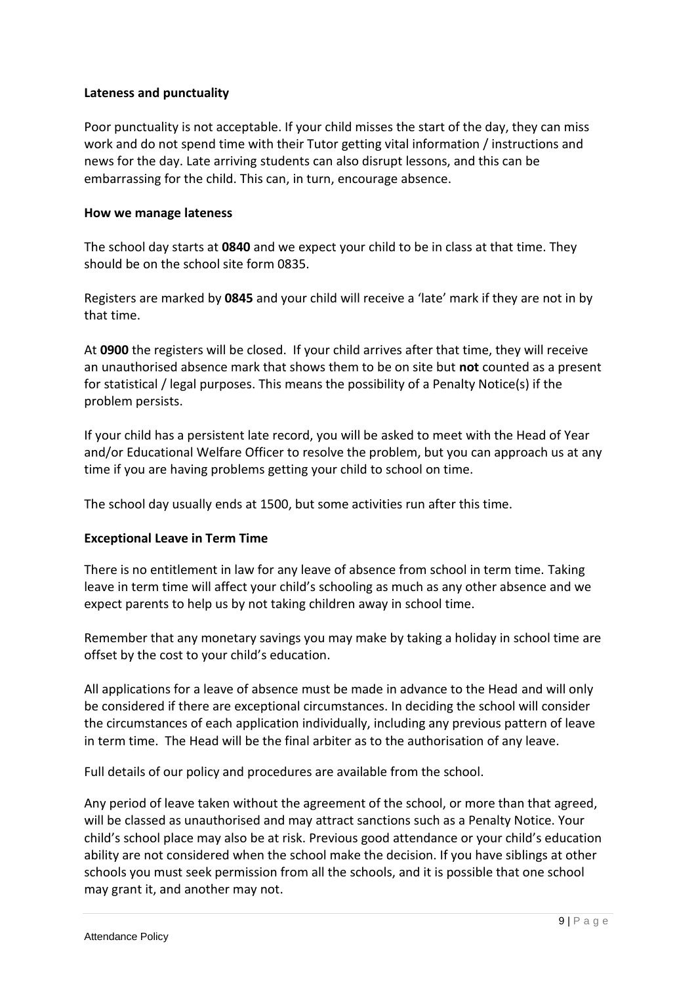## **Lateness and punctuality**

Poor punctuality is not acceptable. If your child misses the start of the day, they can miss work and do not spend time with their Tutor getting vital information / instructions and news for the day. Late arriving students can also disrupt lessons, and this can be embarrassing for the child. This can, in turn, encourage absence.

### **How we manage lateness**

The school day starts at **0840** and we expect your child to be in class at that time. They should be on the school site form 0835.

Registers are marked by **0845** and your child will receive a 'late' mark if they are not in by that time.

At **0900** the registers will be closed. If your child arrives after that time, they will receive an unauthorised absence mark that shows them to be on site but **not** counted as a present for statistical / legal purposes. This means the possibility of a Penalty Notice(s) if the problem persists.

If your child has a persistent late record, you will be asked to meet with the Head of Year and/or Educational Welfare Officer to resolve the problem, but you can approach us at any time if you are having problems getting your child to school on time.

The school day usually ends at 1500, but some activities run after this time.

### **Exceptional Leave in Term Time**

There is no entitlement in law for any leave of absence from school in term time. Taking leave in term time will affect your child's schooling as much as any other absence and we expect parents to help us by not taking children away in school time.

Remember that any monetary savings you may make by taking a holiday in school time are offset by the cost to your child's education.

All applications for a leave of absence must be made in advance to the Head and will only be considered if there are exceptional circumstances. In deciding the school will consider the circumstances of each application individually, including any previous pattern of leave in term time. The Head will be the final arbiter as to the authorisation of any leave.

Full details of our policy and procedures are available from the school.

Any period of leave taken without the agreement of the school, or more than that agreed, will be classed as unauthorised and may attract sanctions such as a Penalty Notice. Your child's school place may also be at risk. Previous good attendance or your child's education ability are not considered when the school make the decision. If you have siblings at other schools you must seek permission from all the schools, and it is possible that one school may grant it, and another may not.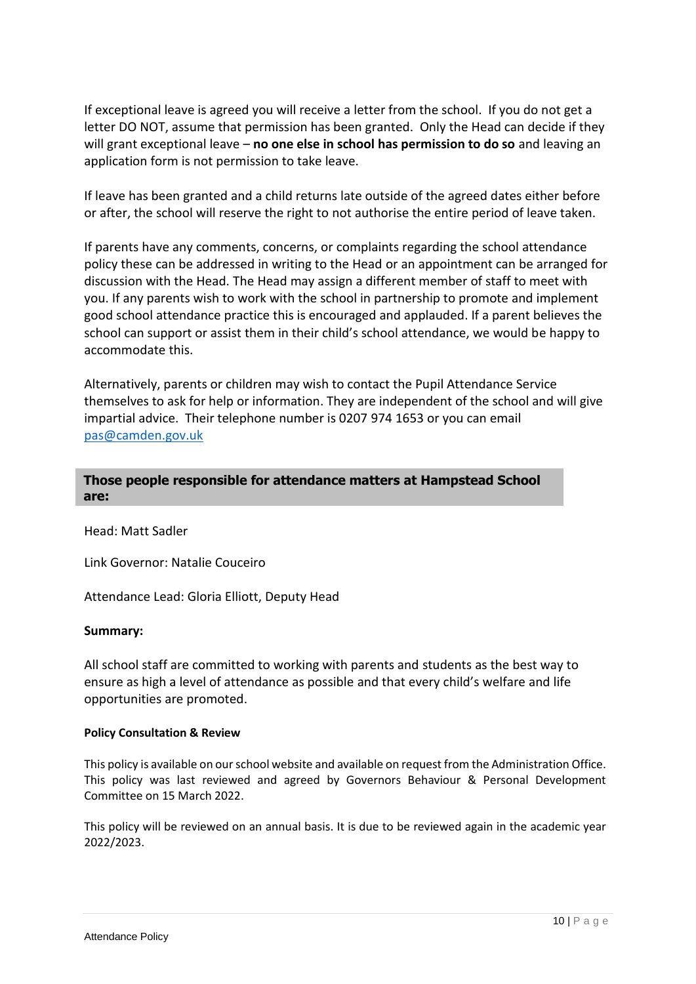If exceptional leave is agreed you will receive a letter from the school. If you do not get a letter DO NOT, assume that permission has been granted. Only the Head can decide if they will grant exceptional leave – **no one else in school has permission to do so** and leaving an application form is not permission to take leave.

If leave has been granted and a child returns late outside of the agreed dates either before or after, the school will reserve the right to not authorise the entire period of leave taken.

If parents have any comments, concerns, or complaints regarding the school attendance policy these can be addressed in writing to the Head or an appointment can be arranged for discussion with the Head. The Head may assign a different member of staff to meet with you. If any parents wish to work with the school in partnership to promote and implement good school attendance practice this is encouraged and applauded. If a parent believes the school can support or assist them in their child's school attendance, we would be happy to accommodate this.

Alternatively, parents or children may wish to contact the Pupil Attendance Service themselves to ask for help or information. They are independent of the school and will give impartial advice. Their telephone number is 0207 974 1653 or you can email [pas@camden.gov.uk](mailto:pas@camden.gov.uk)

## **Those people responsible for attendance matters at Hampstead School are:**

Head: Matt Sadler

Link Governor: Natalie Couceiro

Attendance Lead: Gloria Elliott, Deputy Head

#### **Summary:**

All school staff are committed to working with parents and students as the best way to ensure as high a level of attendance as possible and that every child's welfare and life opportunities are promoted.

#### **Policy Consultation & Review**

This policy is available on our school website and available on request from the Administration Office. This policy was last reviewed and agreed by Governors Behaviour & Personal Development Committee on 15 March 2022.

This policy will be reviewed on an annual basis. It is due to be reviewed again in the academic year 2022/2023.